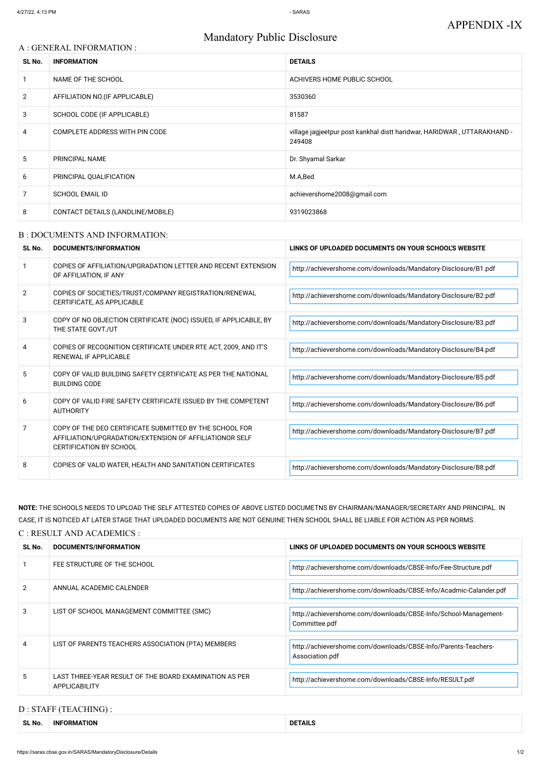# Mandatory Public Disclosure

### A : GENERAL INFORMATION :

| SL No.         | <b>INFORMATION</b>                | <b>DETAILS</b>                                                                    |
|----------------|-----------------------------------|-----------------------------------------------------------------------------------|
|                | NAME OF THE SCHOOL                | ACHIVERS HOME PUBLIC SCHOOL                                                       |
| $\overline{2}$ | AFFILIATION NO. (IF APPLICABLE)   | 3530360                                                                           |
| 3              | SCHOOL CODE (IF APPLICABLE)       | 81587                                                                             |
| 4              | COMPLETE ADDRESS WITH PIN CODE    | village jagjeetpur post kankhal distt haridwar, HARIDWAR, UTTARAKHAND -<br>249408 |
| 5              | PRINCIPAL NAME                    | Dr. Shyamal Sarkar                                                                |
| 6              | PRINCIPAL QUALIFICATION           | M.A,Bed                                                                           |
| 7              | <b>SCHOOL EMAIL ID</b>            | achievershome2008@gmail.com                                                       |
| 8              | CONTACT DETAILS (LANDLINE/MOBILE) | 9319023868                                                                        |

#### B : DOCUMENTS AND INFORMATION:

| SL No.        | DOCUMENTS/INFORMATION                                                                                                                                | LINKS OF UPLOADED DOCUMENTS ON YOUR SCHOOL'S WEBSITE           |  |
|---------------|------------------------------------------------------------------------------------------------------------------------------------------------------|----------------------------------------------------------------|--|
|               | COPIES OF AFFILIATION/UPGRADATION LETTER AND RECENT EXTENSION<br>OF AFFILIATION, IF ANY                                                              | http://achievershome.com/downloads/Mandatory-Disclosure/B1.pdf |  |
| $\mathcal{P}$ | COPIES OF SOCIETIES/TRUST/COMPANY REGISTRATION/RENEWAL<br>CERTIFICATE, AS APPLICABLE                                                                 | http://achievershome.com/downloads/Mandatory-Disclosure/B2.pdf |  |
| 3             | COPY OF NO OBJECTION CERTIFICATE (NOC) ISSUED, IF APPLICABLE, BY<br>THE STATE GOVT./UT                                                               | http://achievershome.com/downloads/Mandatory-Disclosure/B3.pdf |  |
| 4             | COPIES OF RECOGNITION CERTIFICATE UNDER RTE ACT, 2009, AND IT'S<br><b>RENEWAL IF APPLICABLE</b>                                                      | http://achievershome.com/downloads/Mandatory-Disclosure/B4.pdf |  |
| 5             | COPY OF VALID BUILDING SAFETY CERTIFICATE AS PER THE NATIONAL<br><b>BUILDING CODE</b>                                                                | http://achievershome.com/downloads/Mandatory-Disclosure/B5.pdf |  |
| 6             | COPY OF VALID FIRE SAFETY CERTIFICATE ISSUED BY THE COMPETENT<br><b>AUTHORITY</b>                                                                    | http://achievershome.com/downloads/Mandatory-Disclosure/B6.pdf |  |
| 7             | COPY OF THE DEO CERTIFICATE SUBMITTED BY THE SCHOOL FOR<br>AFFILIATION/UPGRADATION/EXTENSION OF AFFILIATIONOR SELF<br><b>CERTIFICATION BY SCHOOL</b> | http://achievershome.com/downloads/Mandatory-Disclosure/B7.pdf |  |
| 8             | COPIES OF VALID WATER, HEALTH AND SANITATION CERTIFICATES                                                                                            | http://achievershome.com/downloads/Mandatory-Disclosure/B8.pdf |  |

| $\mathcal{P}$ | ANNUAL ACADEMIC CALENDER                                                       | http://achievershome.com/downloads/CBSE-Info/Acadmic-Calander.pdf                 |
|---------------|--------------------------------------------------------------------------------|-----------------------------------------------------------------------------------|
| 3             | LIST OF SCHOOL MANAGEMENT COMMITTEE (SMC)                                      | http://achievershome.com/downloads/CBSE-Info/School-Management-<br>Committee.pdf  |
| 4             | LIST OF PARENTS TEACHERS ASSOCIATION (PTA) MEMBERS                             | http://achievershome.com/downloads/CBSE-Info/Parents-Teachers-<br>Association.pdf |
| 5             | LAST THREE-YEAR RESULT OF THE BOARD EXAMINATION AS PER<br><b>APPLICABILITY</b> | http://achievershome.com/downloads/CBSE-Info/RESULT.pdf                           |

**NOTE:** THE SCHOOLS NEEDS TO UPLOAD THE SELF ATTESTED COPIES OF ABOVE LISTED DOCUMETNS BY CHAIRMAN/MANAGER/SECRETARY AND PRINCIPAL. IN CASE, IT IS NOTICED AT LATER STAGE THAT UPLOADED DOCUMENTS ARE NOT GENUINE THEN SCHOOL SHALL BE LIABLE FOR ACTION AS PER NORMS. C : RESULT AND ACADEMICS :

| SL No. | DOCUMENTS/INFORMATION                 | LINKS OF UPLOADED DOCUMENTS ON YOUR SCHOOL'S WEBSITE           |
|--------|---------------------------------------|----------------------------------------------------------------|
|        | $\degree$ FEE STRUCTURE OF THE SCHOOL | http://achievershome.com/downloads/CBSE-Info/Fee-Structure.pdf |

# D : STAFF (TEACHING) :

| SL No. | <b>INFORMATION</b> | DE<br>:IAILS |
|--------|--------------------|--------------|
|        |                    |              |